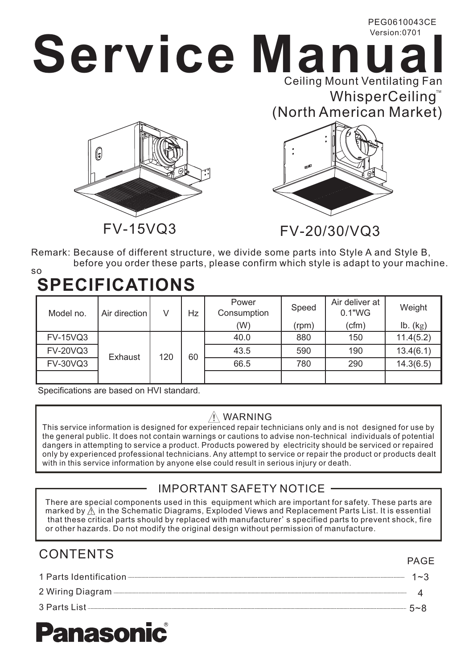# **Service Manual** PEG0610043CE Version:0701 Ceiling Mount Ventilating Fan





 $\mathsf{WhisperCeiling}^{\scriptscriptstyle{\mathsf{T}}}$ 

Remark: Because of different structure, we divide some parts into Style A and Style B, before you order these parts, please confirm which style is adapt to your machine.

### **SPECIFICATIONS** so

| Model no.       | Air direction  | V   | Hz | Power<br>Consumption | Speed | Air deliver at<br>0.1"WG | Weight    |
|-----------------|----------------|-----|----|----------------------|-------|--------------------------|-----------|
|                 |                |     |    | (W)                  | (rpm) | (cfm)                    | Ib. (kg)  |
| <b>FV-15VQ3</b> | <b>Exhaust</b> | 120 | 60 | 40.0                 | 880   | 150                      | 11.4(5.2) |
| <b>FV-20VQ3</b> |                |     |    | 43.5                 | 590   | 190                      | 13.4(6.1) |
| <b>FV-30VQ3</b> |                |     |    | 66.5                 | 780   | 290                      | 14.3(6.5) |
|                 |                |     |    |                      |       |                          |           |

Specifications are based on HVI standard.

### $\hat{N}$  WARNING

This service information is designed for experienced repair technicians only and is not designed for use by the general public. It does not contain warnings or cautions to advise non-technical individuals of potential dangers in attempting to service a product. Products powered by electricity should be serviced or repaired only by experienced professional technicians. Any attempt to service or repair the product or products dealt with in this service information by anyone else could result in serious injury or death.

## IMPORTANT SAFETY NOTICE

There are special components used in this equipment which are important for safety. These parts are marked by  $\hat{\wedge}$  in the Schematic Diagrams, Exploded Views and Replacement Parts List. It is essential that these critical parts should by replaced with manufacturer's specified parts to prevent shock, fire or other hazards. Do not modify the original design without permission of manufacture.

# CONTENTS

PAGE

| 1 Parts Identification- | $1 - 3$ |
|-------------------------|---------|
| 2 Wiring Diagram -      |         |
| 3 Parts List            | $5 - 8$ |

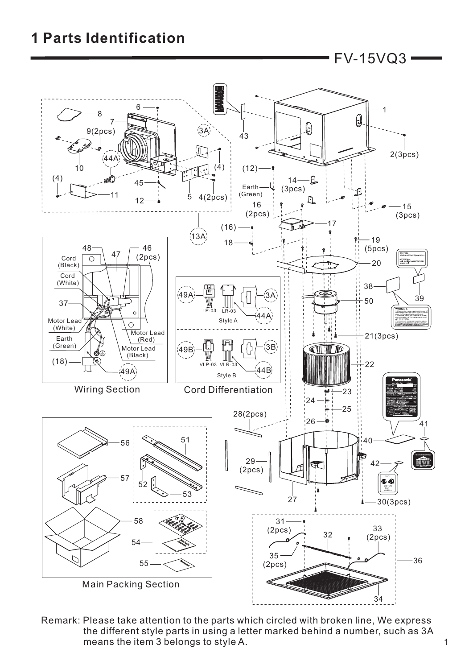# **1 Parts Identification**

FV-15VQ3



Remark: Please take attention to the parts which circled with broken line, We express the different style parts in using a letter marked behind a number, such as 3A means the item 3 belongs to style A.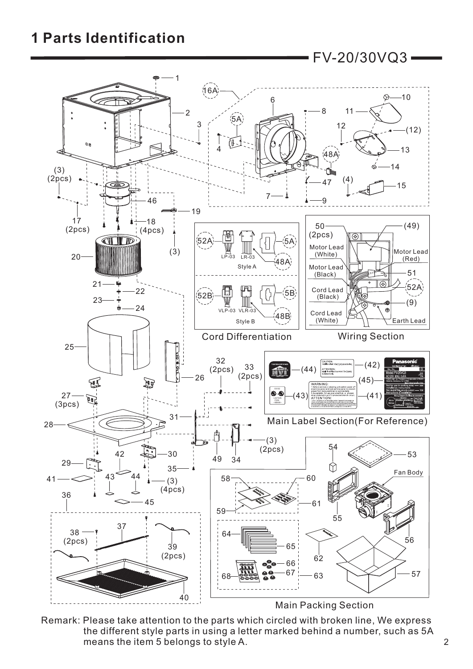## **1 Parts Identification**



Remark: Please take attention to the parts which circled with broken line, We express the different style parts in using a letter marked behind a number, such as 5A means the item 5 belongs to style A.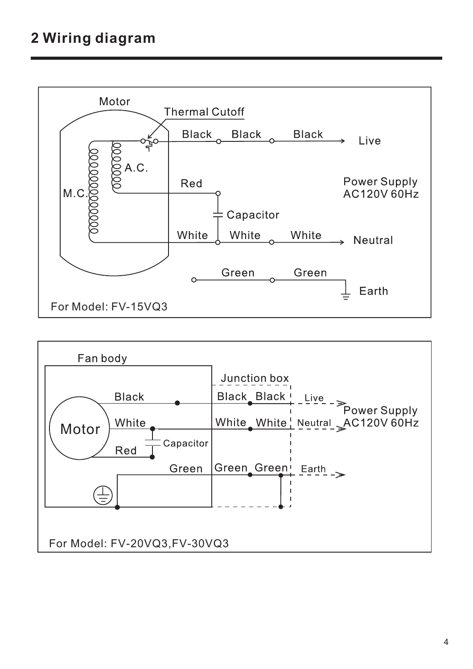

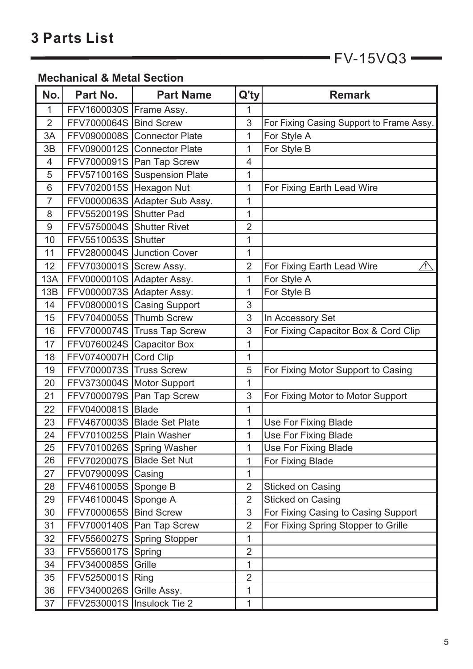$FV-15VQ3$ 

## **Mechanical & Metal Section**

| No.            | Part No.                     | <b>Part Name</b>              | Q'ty           | <b>Remark</b>                             |
|----------------|------------------------------|-------------------------------|----------------|-------------------------------------------|
| 1              | FFV1600030S   Frame Assy.    |                               | 1              |                                           |
| $\overline{2}$ | FFV7000064S Bind Screw       |                               | 3              | For Fixing Casing Support to Frame Assy.  |
| 3A             |                              | FFV0900008S Connector Plate   | 1              | For Style A                               |
| 3B             |                              | FFV0900012S Connector Plate   | 1              | For Style B                               |
| 4              |                              | FFV7000091S   Pan Tap Screw   | 4              |                                           |
| 5              |                              | FFV5710016S Suspension Plate  | 1              |                                           |
| 6              | FFV7020015S Hexagon Nut      |                               | 1              | For Fixing Earth Lead Wire                |
| $\overline{7}$ |                              | FFV0000063S Adapter Sub Assy. | 1              |                                           |
| 8              | FFV5520019S Shutter Pad      |                               | 1              |                                           |
| 9              | FFV5750004S Shutter Rivet    |                               | $\overline{2}$ |                                           |
| 10             | FFV5510053S Shutter          |                               | 1              |                                           |
| 11             |                              | FFV2800004S Junction Cover    | 1              |                                           |
| 12             | FFV7030001S Screw Assy.      |                               | $\overline{2}$ | For Fixing Earth Lead Wire<br>$\bigwedge$ |
| 13A            | FFV0000010S Adapter Assy.    |                               | 1              | For Style A                               |
| 13B            | FFV0000073S Adapter Assy.    |                               | 1              | For Style B                               |
| 14             |                              | FFV0800001S Casing Support    | 3              |                                           |
| 15             | FFV7040005S Thumb Screw      |                               | 3              | In Accessory Set                          |
| 16             |                              | FFV7000074S Truss Tap Screw   | 3              | For Fixing Capacitor Box & Cord Clip      |
| 17             | FFV0760024S                  | <b>Capacitor Box</b>          | 1              |                                           |
| 18             | FFV0740007H                  | <b>Cord Clip</b>              | 1              |                                           |
| 19             | FFV7000073S                  | <b>Truss Screw</b>            | 5              | For Fixing Motor Support to Casing        |
| 20             | FFV3730004S Motor Support    |                               | 1              |                                           |
| 21             |                              | FFV7000079S Pan Tap Screw     | 3              | For Fixing Motor to Motor Support         |
| 22             | FFV0400081S Blade            |                               | 1              |                                           |
| 23             |                              | FFV4670003S Blade Set Plate   | 1              | <b>Use For Fixing Blade</b>               |
| 24             | FFV7010025S Plain Washer     |                               | 1              | <b>Use For Fixing Blade</b>               |
| 25             |                              | FFV7010026S Spring Washer     | 1              | <b>Use For Fixing Blade</b>               |
| 26             | FFV7020007S Blade Set Nut    |                               | 1              | For Fixing Blade                          |
| 27             | FFV0790009S Casing           |                               | $\mathbf{1}$   |                                           |
| 28             | FFV4610005S Sponge B         |                               | $\overline{2}$ | <b>Sticked on Casing</b>                  |
| 29             | FFV4610004S Sponge A         |                               | $\overline{2}$ | <b>Sticked on Casing</b>                  |
| 30             | FFV7000065S Bind Screw       |                               | 3              | For Fixing Casing to Casing Support       |
| 31             |                              | FFV7000140S   Pan Tap Screw   | $\overline{2}$ | For Fixing Spring Stopper to Grille       |
| 32             |                              | FFV5560027S Spring Stopper    | 1              |                                           |
| 33             | FFV5560017S Spring           |                               | $\overline{2}$ |                                           |
| 34             | <b>FFV3400085S Grille</b>    |                               | 1              |                                           |
| 35             | FFV5250001S Ring             |                               | $\overline{2}$ |                                           |
| 36             | FFV3400026S                  | Grille Assy.                  | 1              |                                           |
| 37             | FFV2530001S   Insulock Tie 2 |                               | 1              |                                           |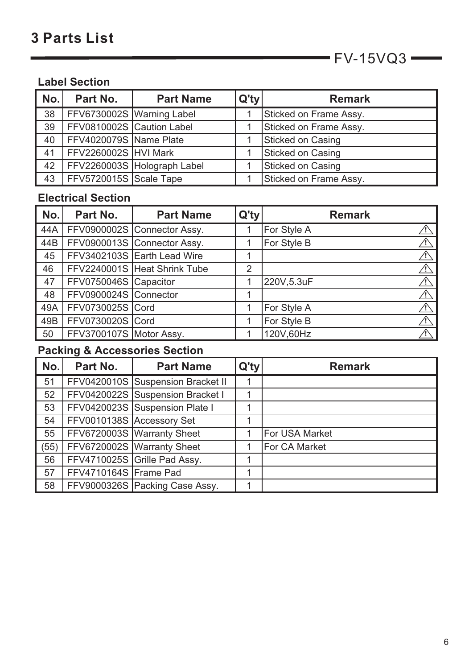$\longrightarrow$  FV-15VQ3 $\longrightarrow$ 

## **Label Section**

| No. | Part No.                  | <b>Part Name</b>            | $Q'$ ty | <b>Remark</b>            |
|-----|---------------------------|-----------------------------|---------|--------------------------|
| 38  | FFV6730002S Warning Label |                             |         | Sticked on Frame Assy.   |
| 39  | FFV0810002S Caution Label |                             |         | Sticked on Frame Assy.   |
| 40  | FFV4020079S Name Plate    |                             |         | <b>Sticked on Casing</b> |
| 41  | FFV2260002S HVI Mark      |                             |         | <b>Sticked on Casing</b> |
| 42  |                           | FFV2260003S Holograph Label |         | <b>Sticked on Casing</b> |
| 43  | FFV5720015S Scale Tape    |                             |         | Sticked on Frame Assy.   |

#### **Electrical Section**

| No. | Part No.                | <b>Part Name</b>             | Q'ty           | <b>Remark</b> |
|-----|-------------------------|------------------------------|----------------|---------------|
| 44A |                         | FFV0900002S Connector Assy.  |                | For Style A   |
| 44B |                         | FFV0900013S Connector Assy.  |                | For Style B   |
| 45  |                         | FFV3402103S Earth Lead Wire  |                |               |
| 46  |                         | FFV2240001S Heat Shrink Tube | $\overline{2}$ |               |
| 47  | FFV0750046S Capacitor   |                              |                | 220V,5.3uF    |
| 48  | FFV0900024S Connector   |                              |                |               |
| 49A | FFV0730025S Cord        |                              |                | For Style A   |
| 49B | FFV0730020S Cord        |                              |                | For Style B   |
| 50  | FFV3700107S Motor Assy. |                              |                | 120V,60Hz     |

## **Packing & Accessories Section**

| No.  | Part No.                  | <b>Part Name</b>                  | $Q'$ ty | <b>Remark</b>        |
|------|---------------------------|-----------------------------------|---------|----------------------|
| 51   |                           | FFV0420010S Suspension Bracket II |         |                      |
| 52   |                           | FFV0420022S Suspension Bracket I  |         |                      |
| 53   |                           | FFV0420023S Suspension Plate I    |         |                      |
| 54   | FFV0010138S Accessory Set |                                   |         |                      |
| 55   |                           | FFV6720003S Warranty Sheet        |         | For USA Market       |
| (55) |                           | FFV6720002S   Warranty Sheet      |         | <b>For CA Market</b> |
| 56   |                           | FFV4710025S Grille Pad Assy.      |         |                      |
| 57   | FFV4710164S Frame Pad     |                                   |         |                      |
| 58   |                           | FFV9000326S Packing Case Assy.    |         |                      |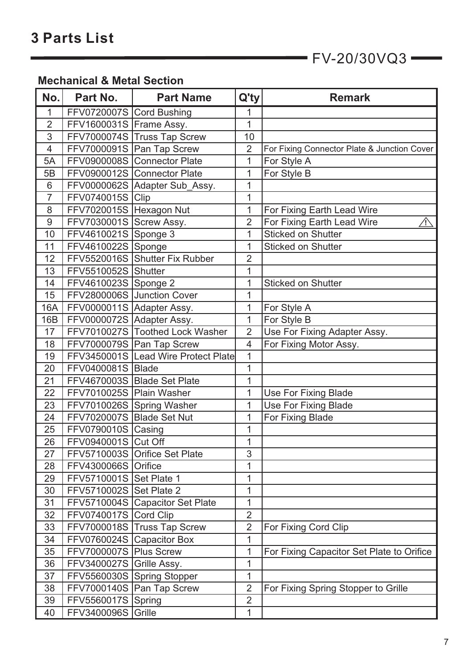$FV-20/30VQ3$   $\longrightarrow$ 

## **Mechanical & Metal Section**

| No.            | Part No.                   | <b>Part Name</b>                    | Q'ty           | <b>Remark</b>                               |
|----------------|----------------------------|-------------------------------------|----------------|---------------------------------------------|
| 1              | FFV0720007S Cord Bushing   |                                     | 1              |                                             |
| $\overline{2}$ | FFV1600031S Frame Assy.    |                                     | 1              |                                             |
| 3              |                            | FFV7000074S Truss Tap Screw         | 10             |                                             |
| $\overline{4}$ |                            | FFV7000091S Pan Tap Screw           | $\overline{2}$ | For Fixing Connector Plate & Junction Cover |
| 5A             |                            | FFV0900008S Connector Plate         | 1              | For Style A                                 |
| 5B             |                            | FFV0900012S Connector Plate         | 1              | For Style B                                 |
| 6              |                            | FFV0000062S   Adapter Sub_Assy.     | 1              |                                             |
| $\overline{7}$ | FFV0740015S Clip           |                                     | 1              |                                             |
| 8              | FFV7020015S   Hexagon Nut  |                                     | 1              | For Fixing Earth Lead Wire                  |
| 9              | FFV7030001S Screw Assy.    |                                     | $\overline{2}$ | For Fixing Earth Lead Wire<br>个             |
| 10             | FFV4610021S Sponge 3       |                                     | 1              | <b>Sticked on Shutter</b>                   |
| 11             | FFV4610022S Sponge         |                                     | 1              | <b>Sticked on Shutter</b>                   |
| 12             |                            | FFV5520016S Shutter Fix Rubber      | $\overline{2}$ |                                             |
| 13             | FFV5510052S Shutter        |                                     | 1              |                                             |
| 14             | FFV4610023S Sponge 2       |                                     | 1              | <b>Sticked on Shutter</b>                   |
| 15             |                            | FFV2800006S Junction Cover          | 1              |                                             |
| <b>16A</b>     | FFV0000011S Adapter Assy.  |                                     | $\mathbf{1}$   | For Style A                                 |
| 16B            | FFV0000072S Adapter Assy.  |                                     | 1              | For Style B                                 |
| 17             |                            | FFV7010027S Toothed Lock Washer     | $\overline{2}$ | Use For Fixing Adapter Assy.                |
| 18             |                            | FFV7000079S   Pan Tap Screw         | 4              | For Fixing Motor Assy.                      |
| 19             |                            | FFV3450001S Lead Wire Protect Plate | 1              |                                             |
| 20             | FFV0400081S Blade          |                                     | 1              |                                             |
| 21             |                            | FFV4670003S Blade Set Plate         | 1              |                                             |
| 22             | FFV7010025S Plain Washer   |                                     | 1              | <b>Use For Fixing Blade</b>                 |
| 23             |                            | FFV7010026S Spring Washer           | 1              | <b>Use For Fixing Blade</b>                 |
| 24             | FFV7020007S Blade Set Nut  |                                     | 1              | For Fixing Blade                            |
| 25             | FFV0790010S Casing         |                                     | 1              |                                             |
| 26             | FFV0940001S Cut Off        |                                     | $\mathbf{1}$   |                                             |
| 27             |                            | FFV5710003S Orifice Set Plate       | 3              |                                             |
| 28             | <b>FFV4300066S Orifice</b> |                                     | 1              |                                             |
| 29             | FFV5710001S Set Plate 1    |                                     | 1              |                                             |
| 30             | FFV5710002S Set Plate 2    |                                     | 1              |                                             |
| 31             |                            | FFV5710004S Capacitor Set Plate     | $\mathbf{1}$   |                                             |
| 32             | FFV0740017S Cord Clip      |                                     | $\overline{2}$ |                                             |
| 33             |                            | FFV7000018S Truss Tap Screw         | $\overline{2}$ | For Fixing Cord Clip                        |
| 34             |                            | FFV0760024S Capacitor Box           | 1              |                                             |
| 35             | FFV7000007S Plus Screw     |                                     | $\overline{1}$ | For Fixing Capacitor Set Plate to Orifice   |
| 36             | FFV3400027S Grille Assy.   |                                     | 1              |                                             |
| 37             |                            | FFV5560030S Spring Stopper          | 1              |                                             |
| 38             |                            | FFV7000140S   Pan Tap Screw         | $\overline{2}$ | For Fixing Spring Stopper to Grille         |
| 39             | FFV5560017S Spring         |                                     | $\overline{2}$ |                                             |
| 40             | <b>FFV3400096S Grille</b>  |                                     | 1              |                                             |